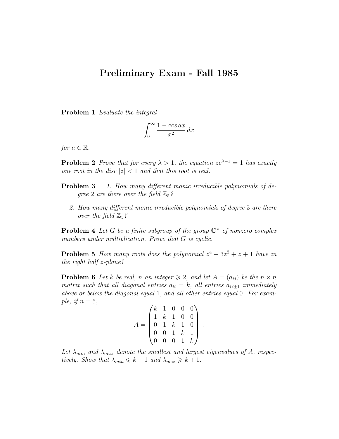## Preliminary Exam - Fall 1985

Problem 1 Evaluate the integral

$$
\int_0^\infty \frac{1 - \cos ax}{x^2} \, dx
$$

for  $a \in \mathbb{R}$ .

**Problem 2** Prove that for every  $\lambda > 1$ , the equation  $ze^{\lambda-z} = 1$  has exactly one root in the disc  $|z| < 1$  and that this root is real.

- **Problem 3** 1. How many different monic irreducible polynomials of degree 2 are there over the field  $\mathbb{Z}_5$ ?
	- 2. How many different monic irreducible polynomials of degree 3 are there over the field  $\mathbb{Z}_5$ ?

**Problem 4** Let G be a finite subgroup of the group  $\mathbb{C}^*$  of nonzero complex numbers under multiplication. Prove that G is cyclic.

**Problem 5** How many roots does the polynomial  $z^4 + 3z^2 + z + 1$  have in the right half z-plane?

**Problem 6** Let k be real, n an integer  $\geq 2$ , and let  $A = (a_{ij})$  be the  $n \times n$ matrix such that all diagonal entries  $a_{ii} = k$ , all entries  $a_{i,i\pm 1}$  immediately above or below the diagonal equal 1, and all other entries equal 0. For example, if  $n = 5$ ,

$$
A = \begin{pmatrix} k & 1 & 0 & 0 & 0 \\ 1 & k & 1 & 0 & 0 \\ 0 & 1 & k & 1 & 0 \\ 0 & 0 & 1 & k & 1 \\ 0 & 0 & 0 & 1 & k \end{pmatrix}.
$$

Let  $\lambda_{min}$  and  $\lambda_{max}$  denote the smallest and largest eigenvalues of A, respectively. Show that  $\lambda_{min} \leq k - 1$  and  $\lambda_{max} \geq k + 1$ .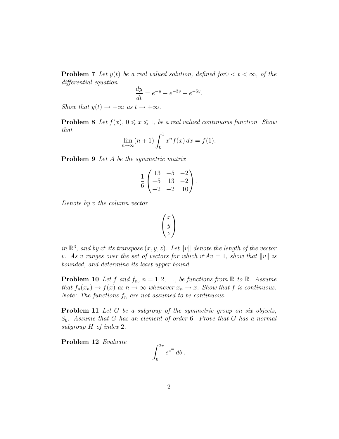**Problem 7** Let  $y(t)$  be a real valued solution, defined for  $0 < t < \infty$ , of the differential equation

$$
\frac{dy}{dt} = e^{-y} - e^{-3y} + e^{-5y}.
$$

Show that  $y(t) \rightarrow +\infty$  as  $t \rightarrow +\infty$ .

**Problem 8** Let  $f(x)$ ,  $0 \le x \le 1$ , be a real valued continuous function. Show that

$$
\lim_{n \to \infty} (n+1) \int_0^1 x^n f(x) \, dx = f(1).
$$

Problem 9 Let A be the symmetric matrix

$$
\frac{1}{6} \begin{pmatrix} 13 & -5 & -2 \\ -5 & 13 & -2 \\ -2 & -2 & 10 \end{pmatrix}.
$$

Denote by v the column vector

$$
\begin{pmatrix} x \\ y \\ z \end{pmatrix}
$$

in  $\mathbb{R}^3$ , and by  $x^t$  its transpose  $(x, y, z)$ . Let  $||v||$  denote the length of the vector v. As v ranges over the set of vectors for which  $v^tAv = 1$ , show that  $||v||$  is bounded, and determine its least upper bound.

**Problem 10** Let f and  $f_n$ ,  $n = 1, 2, \ldots$ , be functions from  $\mathbb{R}$  to  $\mathbb{R}$ . Assume that  $f_n(x_n) \to f(x)$  as  $n \to \infty$  whenever  $x_n \to x$ . Show that f is continuous. Note: The functions  $f_n$  are not assumed to be continuous.

Problem 11 Let G be a subgroup of the symmetric group on six objects,  $S_6$ . Assume that G has an element of order 6. Prove that G has a normal subgroup H of index 2.

Problem 12 Evaluate

$$
\int_0^{2\pi} e^{e^{i\theta}} d\theta.
$$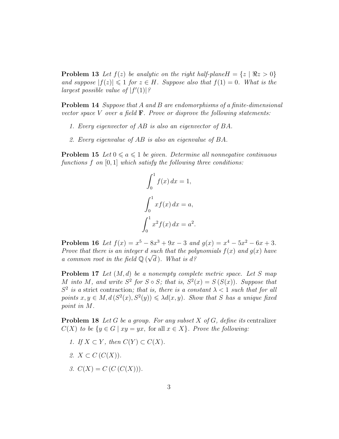**Problem 13** Let  $f(z)$  be analytic on the right half-plane  $H = \{z \mid \Re z > 0\}$ and suppose  $|f(z)| \leq 1$  for  $z \in H$ . Suppose also that  $f(1) = 0$ . What is the largest possible value of  $|f'(1)|$ ?

Problem 14 Suppose that A and B are endomorphisms of a finite-dimensional vector space V over a field  $\bf{F}$ . Prove or disprove the following statements:

- 1. Every eigenvector of AB is also an eigenvector of BA.
- 2. Every eigenvalue of AB is also an eigenvalue of BA.

**Problem 15** Let  $0 \le a \le 1$  be given. Determine all nonnegative continuous functions  $f$  on  $[0, 1]$  which satisfy the following three conditions:

$$
\int_0^1 f(x) dx = 1,
$$
  

$$
\int_0^1 x f(x) dx = a,
$$
  

$$
\int_0^1 x^2 f(x) dx = a^2.
$$

**Problem 16** Let  $f(x) = x^5 - 8x^3 + 9x - 3$  and  $g(x) = x^4 - 5x^2 - 6x + 3$ . Prove that there is an integer d such that the polynomials  $f(x)$  and  $g(x)$  have a common root in the field  $\mathbb{Q}(\sqrt{d})$ . What is d?

**Problem 17** Let  $(M, d)$  be a nonempty complete metric space. Let S map M into M, and write  $S^2$  for  $S \circ S$ ; that is,  $S^2(x) = S(S(x))$ . Suppose that  $S^2$  is a strict contraction; that is, there is a constant  $\lambda < 1$  such that for all points  $x, y \in M$ ,  $d(S^2(x), S^2(y)) \leq \lambda d(x, y)$ . Show that S has a unique fixed point in M.

**Problem 18** Let G be a group. For any subset X of G, define its centralizer  $C(X)$  to be  $\{y \in G \mid xy = yx$ , for all  $x \in X\}$ . Prove the following:

- 1. If  $X \subset Y$ , then  $C(Y) \subset C(X)$ .
- 2.  $X \subset C(C(X))$ .
- 3.  $C(X) = C(C(C(X))).$